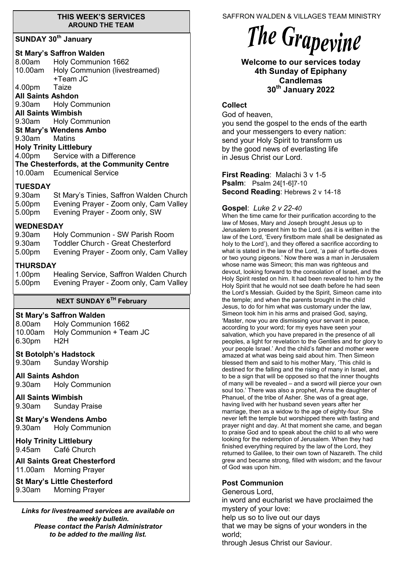#### **THIS WEEK'S SERVICES AROUND THE TEAM**

# **SUNDAY 30th January**

## **St Mary's Saffron Walden**

|                                | 8.00am                                    | Holy Communion 1662                   |  |  |
|--------------------------------|-------------------------------------------|---------------------------------------|--|--|
|                                |                                           | 10.00am Holy Communion (livestreamed) |  |  |
|                                |                                           | +Team JC                              |  |  |
|                                | 4.00pm Taize                              |                                       |  |  |
|                                | <b>All Saints Ashdon</b>                  |                                       |  |  |
|                                |                                           | 9.30am Holy Communion                 |  |  |
| <b>All Saints Wimbish</b>      |                                           |                                       |  |  |
|                                |                                           | 9.30am Holy Communion                 |  |  |
|                                | <b>St Mary's Wendens Ambo</b>             |                                       |  |  |
|                                | 9.30am Matins                             |                                       |  |  |
| <b>Holy Trinity Littlebury</b> |                                           |                                       |  |  |
|                                |                                           | 4.00pm Service with a Difference      |  |  |
|                                | The Chesterfords, at the Community Centre |                                       |  |  |
|                                |                                           | 10.00am Ecumenical Service            |  |  |
|                                |                                           |                                       |  |  |

# **TUESDAY**

| 9.30am | St Mary's Tinies, Saffron Walden Church |
|--------|-----------------------------------------|
| 5.00pm | Evening Prayer - Zoom only, Cam Valley  |
| 5.00pm | Evening Prayer - Zoom only, SW          |

## **WEDNESDAY**

| 9.30am             | Holy Communion - SW Parish Room           |
|--------------------|-------------------------------------------|
| 9.30am             | <b>Toddler Church - Great Chesterford</b> |
| 5.00 <sub>pm</sub> | Evening Prayer - Zoom only, Cam Valley    |

# **THURSDAY**

1.00pm Healing Service, Saffron Walden Church 5.00pm Evening Prayer - Zoom only, Cam Valley

#### **NEXT SUNDAY 6 TH February**

#### **St Mary's Saffron Walden**

8.00am Holy Communion 1662 10.00am Holy Communion + Team JC 6.30pm H2H

#### **St Botolph's Hadstock**

9.30am Sunday Worship

**All Saints Ashdon**  9.30am Holy Communion

**All Saints Wimbish** 9.30am Sunday Praise

**St Mary's Wendens Ambo** 9.30am Holy Communion

**Holy Trinity Littlebury** 9.45am Café Church

**All Saints Great Chesterford** 11.00am Morning Prayer

**St Mary's Little Chesterford** 9.30am Morning Prayer

*Links for livestreamed services are available on the weekly bulletin. Please contact the Parish Administrator to be added to the mailing list.*

SAFFRON WALDEN & VILLAGES TEAM MINISTRY

# The Grapevine

**Welcome to our services today 4th Sunday of Epiphany Candlemas 30th January 2022**

## **Collect**

God of heaven,

you send the gospel to the ends of the earth and your messengers to every nation: send your Holy Spirit to transform us by the good news of everlasting life in Jesus Christ our Lord.

**First Reading**: Malachi 3 v 1-5 **Psalm**: Psalm 24[1-6]7-10 **Second Reading**: Hebrews 2 v 14-18

#### **Gospel**: *Luke 2 v 22-40*

When the time came for their purification according to the law of Moses, Mary and Joseph brought Jesus up to Jerusalem to present him to the Lord. (as it is written in the law of the Lord, 'Every firstborn male shall be designated as holy to the Lord'), and they offered a sacrifice according to what is stated in the law of the Lord, 'a pair of turtle-doves or two young pigeons.' Now there was a man in Jerusalem whose name was Simeon; this man was righteous and devout, looking forward to the consolation of Israel, and the Holy Spirit rested on him. It had been revealed to him by the Holy Spirit that he would not see death before he had seen the Lord's Messiah. Guided by the Spirit, Simeon came into the temple; and when the parents brought in the child Jesus, to do for him what was customary under the law, Simeon took him in his arms and praised God, saying, 'Master, now you are dismissing your servant in peace, according to your word; for my eyes have seen your salvation, which you have prepared in the presence of all peoples, a light for revelation to the Gentiles and for glory to your people Israel.' And the child's father and mother were amazed at what was being said about him. Then Simeon blessed them and said to his mother Mary, 'This child is destined for the falling and the rising of many in Israel, and to be a sign that will be opposed so that the inner thoughts of many will be revealed – and a sword will pierce your own soul too.' There was also a prophet, Anna the daughter of Phanuel, of the tribe of Asher. She was of a great age, having lived with her husband seven years after her marriage, then as a widow to the age of eighty-four. She never left the temple but worshipped there with fasting and prayer night and day. At that moment she came, and began to praise God and to speak about the child to all who were looking for the redemption of Jerusalem. When they had finished everything required by the law of the Lord, they returned to Galilee, to their own town of Nazareth. The child grew and became strong, filled with wisdom; and the favour of God was upon him.

#### **Post Communion**

Generous Lord, in word and eucharist we have proclaimed the mystery of your love: help us so to live out our days that we may be signs of your wonders in the world; through Jesus Christ our Saviour.